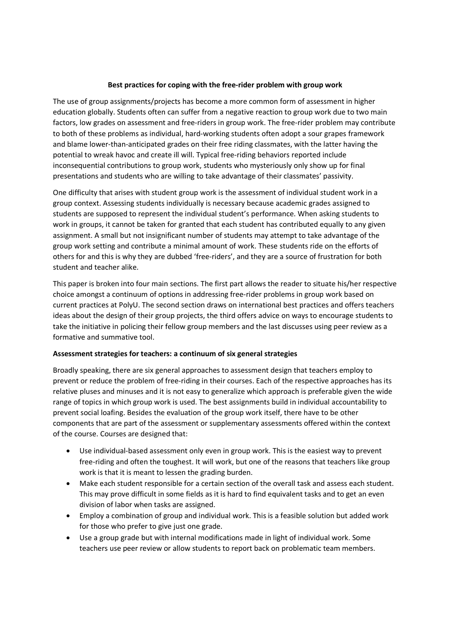## Best practices for coping with the free-rider problem with group work

The use of group assignments/projects has become a more common form of assessment in higher education globally. Students often can suffer from a negative reaction to group work due to two main factors, low grades on assessment and free-riders in group work. The free-rider problem may contribute to both of these problems as individual, hard-working students often adopt a sour grapes framework and blame lower-than-anticipated grades on their free riding classmates, with the latter having the potential to wreak havoc and create ill will. Typical free-riding behaviors reported include inconsequential contributions to group work, students who mysteriously only show up for final presentations and students who are willing to take advantage of their classmates' passivity.

One difficulty that arises with student group work is the assessment of individual student work in a group context. Assessing students individually is necessary because academic grades assigned to students are supposed to represent the individual student's performance. When asking students to work in groups, it cannot be taken for granted that each student has contributed equally to any given assignment. A small but not insignificant number of students may attempt to take advantage of the group work setting and contribute a minimal amount of work. These students ride on the efforts of others for and this is why they are dubbed 'free-riders', and they are a source of frustration for both student and teacher alike.

This paper is broken into four main sections. The first part allows the reader to situate his/her respective choice amongst a continuum of options in addressing free-rider problems in group work based on current practices at PolyU. The second section draws on international best practices and offers teachers ideas about the design of their group projects, the third offers advice on ways to encourage students to take the initiative in policing their fellow group members and the last discusses using peer review as a formative and summative tool.

## Assessment strategies for teachers: a continuum of six general strategies

Broadly speaking, there are six general approaches to assessment design that teachers employ to prevent or reduce the problem of free-riding in their courses. Each of the respective approaches has its relative pluses and minuses and it is not easy to generalize which approach is preferable given the wide range of topics in which group work is used. The best assignments build in individual accountability to prevent social loafing. Besides the evaluation of the group work itself, there have to be other components that are part of the assessment or supplementary assessments offered within the context of the course. Courses are designed that:

- Use individual-based assessment only even in group work. This is the easiest way to prevent free-riding and often the toughest. It will work, but one of the reasons that teachers like group work is that it is meant to lessen the grading burden.
- Make each student responsible for a certain section of the overall task and assess each student. This may prove difficult in some fields as it is hard to find equivalent tasks and to get an even division of labor when tasks are assigned.
- Employ a combination of group and individual work. This is a feasible solution but added work for those who prefer to give just one grade.
- Use a group grade but with internal modifications made in light of individual work. Some teachers use peer review or allow students to report back on problematic team members.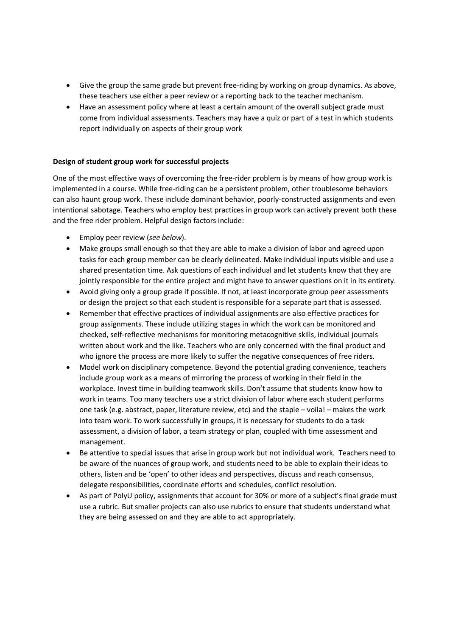- Give the group the same grade but prevent free-riding by working on group dynamics. As above, these teachers use either a peer review or a reporting back to the teacher mechanism.
- Have an assessment policy where at least a certain amount of the overall subject grade must come from individual assessments. Teachers may have a quiz or part of a test in which students report individually on aspects of their group work

# Design of student group work for successful projects

One of the most effective ways of overcoming the free-rider problem is by means of how group work is implemented in a course. While free-riding can be a persistent problem, other troublesome behaviors can also haunt group work. These include dominant behavior, poorly-constructed assignments and even intentional sabotage. Teachers who employ best practices in group work can actively prevent both these and the free rider problem. Helpful design factors include:

- Employ peer review (see below).
- Make groups small enough so that they are able to make a division of labor and agreed upon tasks for each group member can be clearly delineated. Make individual inputs visible and use a shared presentation time. Ask questions of each individual and let students know that they are jointly responsible for the entire project and might have to answer questions on it in its entirety.
- Avoid giving only a group grade if possible. If not, at least incorporate group peer assessments or design the project so that each student is responsible for a separate part that is assessed.
- Remember that effective practices of individual assignments are also effective practices for group assignments. These include utilizing stages in which the work can be monitored and checked, self-reflective mechanisms for monitoring metacognitive skills, individual journals written about work and the like. Teachers who are only concerned with the final product and who ignore the process are more likely to suffer the negative consequences of free riders.
- Model work on disciplinary competence. Beyond the potential grading convenience, teachers include group work as a means of mirroring the process of working in their field in the workplace. Invest time in building teamwork skills. Don't assume that students know how to work in teams. Too many teachers use a strict division of labor where each student performs one task (e.g. abstract, paper, literature review, etc) and the staple – voila! – makes the work into team work. To work successfully in groups, it is necessary for students to do a task assessment, a division of labor, a team strategy or plan, coupled with time assessment and management.
- Be attentive to special issues that arise in group work but not individual work. Teachers need to be aware of the nuances of group work, and students need to be able to explain their ideas to others, listen and be 'open' to other ideas and perspectives, discuss and reach consensus, delegate responsibilities, coordinate efforts and schedules, conflict resolution.
- As part of PolyU policy, assignments that account for 30% or more of a subject's final grade must use a rubric. But smaller projects can also use rubrics to ensure that students understand what they are being assessed on and they are able to act appropriately.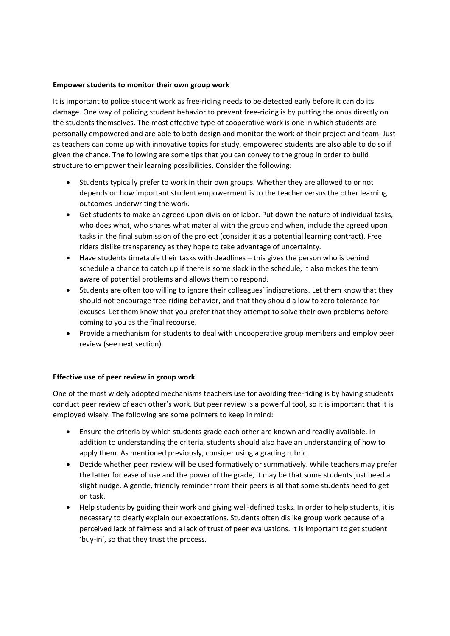### Empower students to monitor their own group work

It is important to police student work as free-riding needs to be detected early before it can do its damage. One way of policing student behavior to prevent free-riding is by putting the onus directly on the students themselves. The most effective type of cooperative work is one in which students are personally empowered and are able to both design and monitor the work of their project and team. Just as teachers can come up with innovative topics for study, empowered students are also able to do so if given the chance. The following are some tips that you can convey to the group in order to build structure to empower their learning possibilities. Consider the following:

- Students typically prefer to work in their own groups. Whether they are allowed to or not depends on how important student empowerment is to the teacher versus the other learning outcomes underwriting the work.
- Get students to make an agreed upon division of labor. Put down the nature of individual tasks, who does what, who shares what material with the group and when, include the agreed upon tasks in the final submission of the project (consider it as a potential learning contract). Free riders dislike transparency as they hope to take advantage of uncertainty.
- Have students timetable their tasks with deadlines this gives the person who is behind schedule a chance to catch up if there is some slack in the schedule, it also makes the team aware of potential problems and allows them to respond.
- Students are often too willing to ignore their colleagues' indiscretions. Let them know that they should not encourage free-riding behavior, and that they should a low to zero tolerance for excuses. Let them know that you prefer that they attempt to solve their own problems before coming to you as the final recourse.
- Provide a mechanism for students to deal with uncooperative group members and employ peer review (see next section).

## Effective use of peer review in group work

One of the most widely adopted mechanisms teachers use for avoiding free-riding is by having students conduct peer review of each other's work. But peer review is a powerful tool, so it is important that it is employed wisely. The following are some pointers to keep in mind:

- Ensure the criteria by which students grade each other are known and readily available. In addition to understanding the criteria, students should also have an understanding of how to apply them. As mentioned previously, consider using a grading rubric.
- Decide whether peer review will be used formatively or summatively. While teachers may prefer the latter for ease of use and the power of the grade, it may be that some students just need a slight nudge. A gentle, friendly reminder from their peers is all that some students need to get on task.
- Help students by guiding their work and giving well-defined tasks. In order to help students, it is necessary to clearly explain our expectations. Students often dislike group work because of a perceived lack of fairness and a lack of trust of peer evaluations. It is important to get student 'buy-in', so that they trust the process.